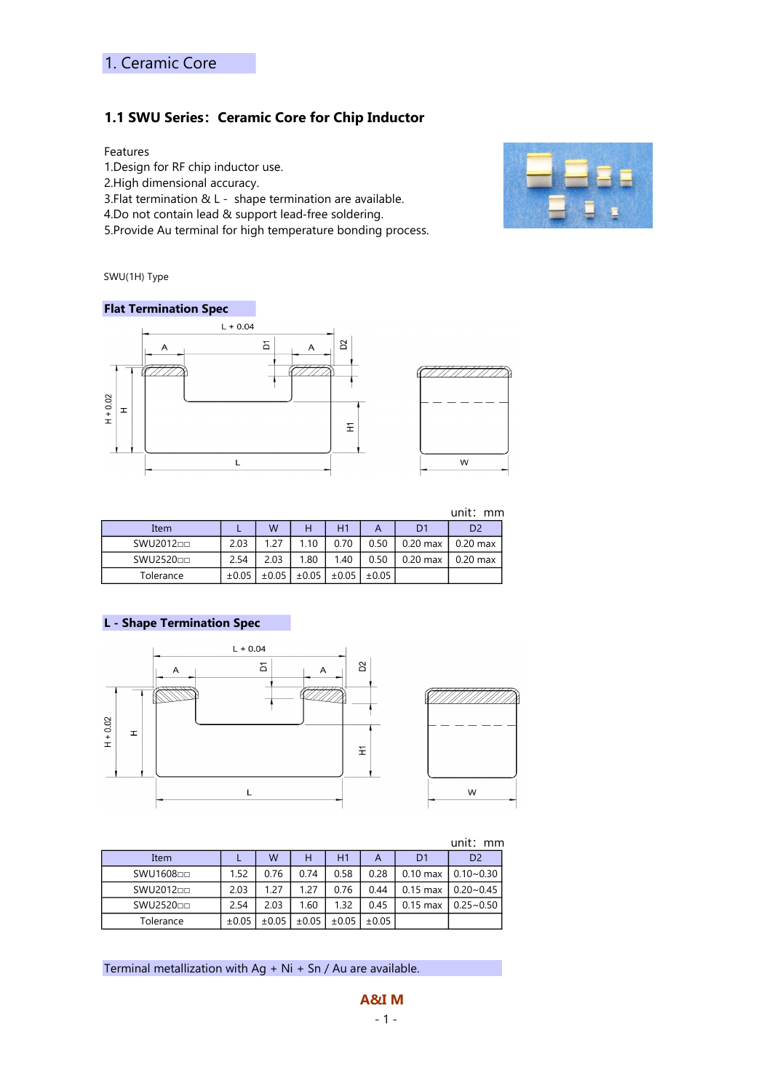### 1.1 SWU Series: Ceramic Core for Chip Inductor

### Features

1.Design for RF chip inductor use.

2.High dimensional accuracy.

3.Flat termination & L - shape termination are available.

4.Do not contain lead & support lead‐free soldering.

5.Provide Au terminal for high temperature bonding process.



SWU(1H) Type

#### Flat Termination Spec



|           |            |            |            |                |            |                | unit:<br>mm    |
|-----------|------------|------------|------------|----------------|------------|----------------|----------------|
| Item      |            | W          | н          | H <sub>1</sub> |            | D <sub>1</sub> | D <sub>2</sub> |
| SWU201200 | 2.03       | 1.27       | 1.10       | 0.70           | 0.50       | $0.20$ max     | $0.20$ max     |
| SWU252000 | 2.54       | 2.03       | 1.80       | 1.40           | 0.50       | $0.20$ max     | $0.20$ max     |
| Tolerance | $\pm 0.05$ | $\pm 0.05$ | $\pm 0.05$ | $\pm 0.05$     | $\pm 0.05$ |                |                |

### L - Shape Termination Spec



| unit:<br>mm |            |            |            |            |            |            |                |  |  |  |  |
|-------------|------------|------------|------------|------------|------------|------------|----------------|--|--|--|--|
| Item        |            | W          | н          | H1         | A          | D1         | D <sub>2</sub> |  |  |  |  |
| SWU160800   | 1.52       | 0.76       | 0.74       | 0.58       | 0.28       | $0.10$ max | $0.10 - 0.30$  |  |  |  |  |
| SWU201200   | 2.03       | 1.27       | 1.27       | 0.76       | 0.44       | $0.15$ max | $0.20 - 0.45$  |  |  |  |  |
| SWU252000   | 2.54       | 2.03       | 1.60       | 1.32       | 0.45       | $0.15$ max | $0.25 - 0.50$  |  |  |  |  |
| Tolerance   | $\pm 0.05$ | $\pm 0.05$ | $\pm 0.05$ | $\pm 0.05$ | $\pm 0.05$ |            |                |  |  |  |  |

Terminal metallization with  $Ag + Ni + Sn / Au$  are available.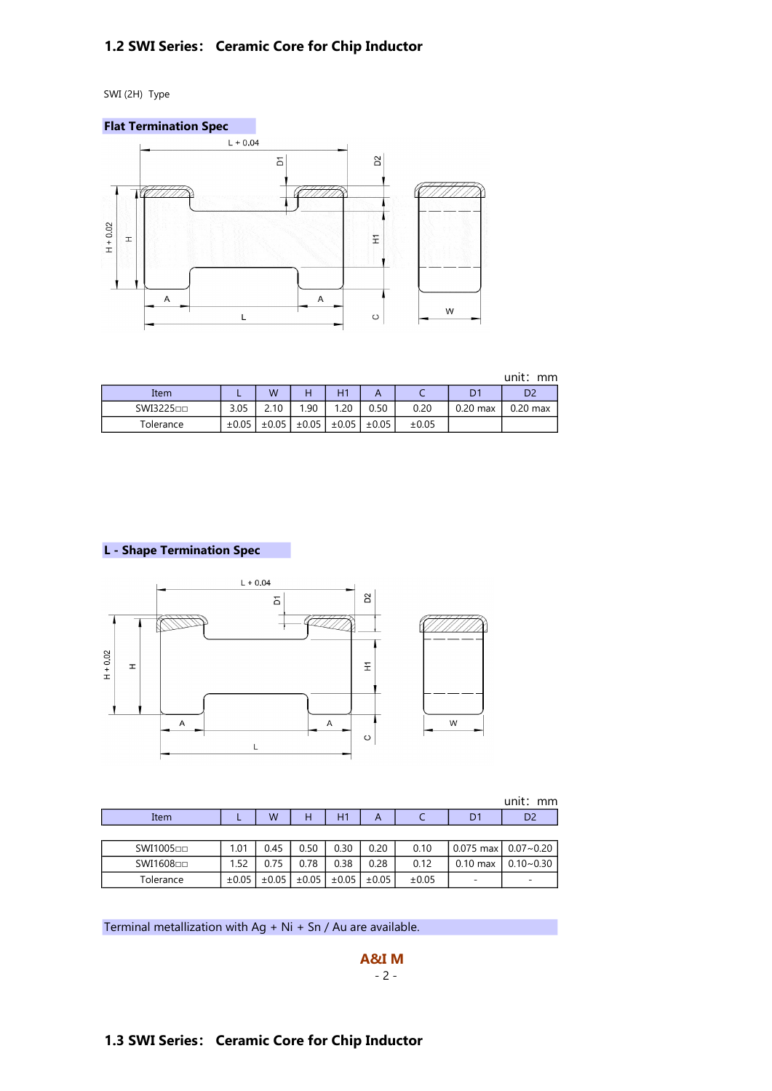# 1.2 SWI Series: Ceramic Core for Chip Inductor

SWI (2H) Type



unit: mm

| Item      | -          | W          |            | $\blacksquare$ |            | ◡          | n.<br>◡    | D <sub>2</sub> |
|-----------|------------|------------|------------|----------------|------------|------------|------------|----------------|
| SWI322500 | 3.05       | 2.10       | .90        | .20            | 0.50       | 0.20       | $0.20$ max | $0.20$ max     |
| Tolerance | $\pm 0.05$ | $\pm 0.05$ | $\pm 0.05$ | ±0.05          | $\pm 0.05$ | $\pm 0.05$ |            |                |

L - Shape Termination Spec



|           |            |            |            |       |            |       |            | unit: mm                           |
|-----------|------------|------------|------------|-------|------------|-------|------------|------------------------------------|
| Item      |            | W          | н          | H1    | А          |       | D1         | D <sub>2</sub>                     |
|           |            |            |            |       |            |       |            |                                    |
| SWI100500 | 1.01       | 0.45       | 0.50       | 0.30  | 0.20       | 0.10  |            | $0.075$ max $\vert 0.07 \sim 0.20$ |
| SWI160800 | 1.52       | 0.75       | 0.78       | 0.38  | 0.28       | 0.12  | $0.10$ max | $0.10 - 0.30$                      |
| Tolerance | $\pm 0.05$ | $\pm 0.05$ | $\pm 0.05$ | ±0.05 | $\pm 0.05$ | ±0.05 | -          |                                    |

Terminal metallization with  $Ag + Ni + Sn / Au$  are available.